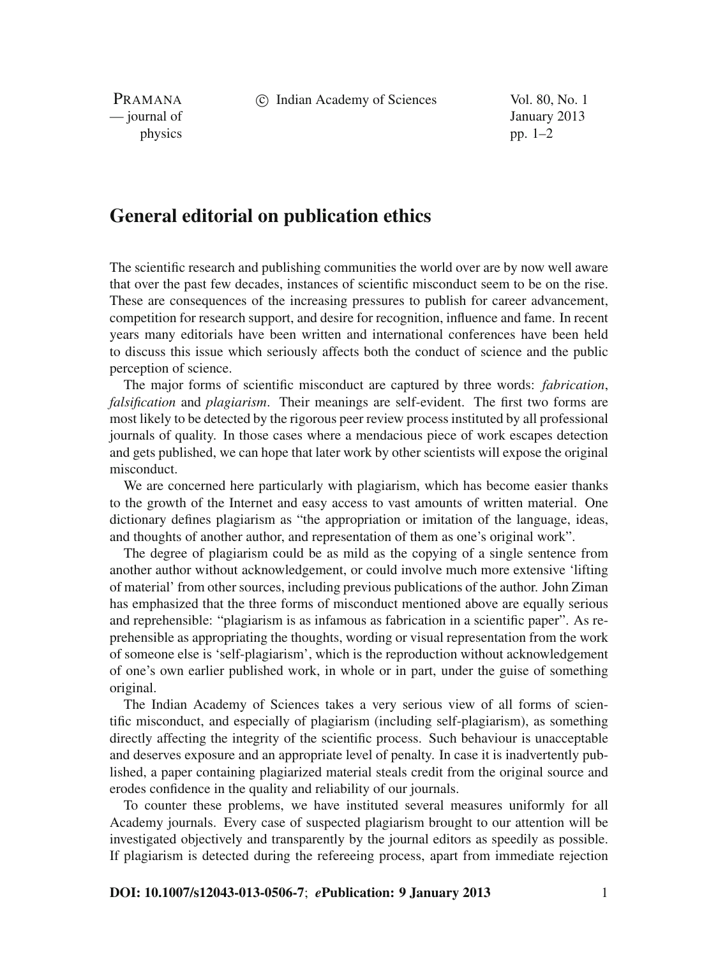c Indian Academy of Sciences Vol. 80, No. 1

PRAMANA — journal of January 2013 physics  $pp. 1-2$ 

## **General editorial on publication ethics**

The scientific research and publishing communities the world over are by now well aware that over the past few decades, instances of scientific misconduct seem to be on the rise. These are consequences of the increasing pressures to publish for career advancement, competition for research support, and desire for recognition, influence and fame. In recent years many editorials have been written and international conferences have been held to discuss this issue which seriously affects both the conduct of science and the public perception of science.

The major forms of scientific misconduct are captured by three words: *fabrication*, *falsification* and *plagiarism*. Their meanings are self-evident. The first two forms are most likely to be detected by the rigorous peer review process instituted by all professional journals of quality. In those cases where a mendacious piece of work escapes detection and gets published, we can hope that later work by other scientists will expose the original misconduct.

We are concerned here particularly with plagiarism, which has become easier thanks to the growth of the Internet and easy access to vast amounts of written material. One dictionary defines plagiarism as "the appropriation or imitation of the language, ideas, and thoughts of another author, and representation of them as one's original work".

The degree of plagiarism could be as mild as the copying of a single sentence from another author without acknowledgement, or could involve much more extensive 'lifting of material' from other sources, including previous publications of the author. John Ziman has emphasized that the three forms of misconduct mentioned above are equally serious and reprehensible: "plagiarism is as infamous as fabrication in a scientific paper". As reprehensible as appropriating the thoughts, wording or visual representation from the work of someone else is 'self-plagiarism', which is the reproduction without acknowledgement of one's own earlier published work, in whole or in part, under the guise of something original.

The Indian Academy of Sciences takes a very serious view of all forms of scientific misconduct, and especially of plagiarism (including self-plagiarism), as something directly affecting the integrity of the scientific process. Such behaviour is unacceptable and deserves exposure and an appropriate level of penalty. In case it is inadvertently published, a paper containing plagiarized material steals credit from the original source and erodes confidence in the quality and reliability of our journals.

To counter these problems, we have instituted several measures uniformly for all Academy journals. Every case of suspected plagiarism brought to our attention will be investigated objectively and transparently by the journal editors as speedily as possible. If plagiarism is detected during the refereeing process, apart from immediate rejection